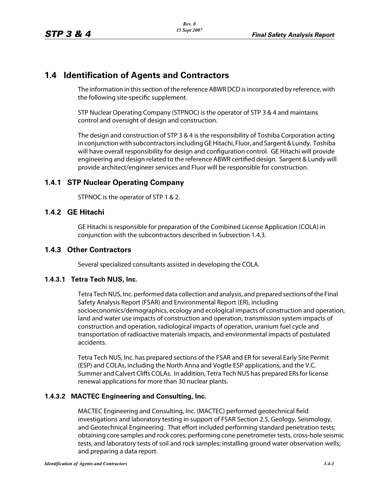# **1.4 Identification of Agents and Contractors**

The information in this section of the reference ABWR DCD is incorporated by reference, with the following site-specific supplement.

STP Nuclear Operating Company (STPNOC) is the operator of STP 3 & 4 and maintains control and oversight of design and construction.

The design and construction of STP 3 & 4 is the responsibility of Toshiba Corporation acting in conjunction with subcontractors including GE Hitachi, Fluor, and Sargent & Lundy. Toshiba will have overall responsibility for design and configuration control. GE Hitachi will provide engineering and design related to the reference ABWR certified design. Sargent & Lundy will provide architect/engineer services and Fluor will be responsible for construction.

### **1.4.1 STP Nuclear Operating Company**

STPNOC is the operator of STP 1 & 2.

## **1.4.2 GE Hitachi**

GE Hitachi is responsible for preparation of the Combined License Application (COLA) in conjunction with the subcontractors described in Subsection 1.4.3.

### **1.4.3 Other Contractors**

Several specialized consultants assisted in developing the COLA.

### **1.4.3.1 Tetra Tech NUS, Inc.**

Tetra TechNUS, Inc. performed data collection and analysis, and prepared sections ofthe Final Safety Analysis Report (FSAR) and Environmental Report (ER), including socioeconomics/demographics, ecology and ecological impacts of construction and operation, land and water use impacts of construction and operation, transmission system impacts of construction and operation, radiological impacts of operation, uranium fuel cycle and transportation of radioactive materials impacts, and environmental impacts of postulated accidents.

Tetra Tech NUS, Inc. has prepared sections of the FSAR and ER for several Early Site Permit (ESP) and COLAs, including the North Anna and Vogtle ESP applications, and the V.C. Summer and Calvert Cliffs COLAs. In addition, Tetra Tech NUS has prepared ERs for license renewal applications for more than 30 nuclear plants.

### **1.4.3.2 MACTEC Engineering and Consulting, Inc.**

MACTEC Engineering and Consulting, Inc. (MACTEC) performed geotechnical field investigations and laboratory testing in support of FSAR Section 2.5, Geology, Seismology, and Geotechnical Engineering. That effort included performing standard penetration tests; obtaining core samples and rock cores; performing cone penetrometer tests, cross-hole seismic tests, and laboratory tests of soil and rock samples; installing ground water observation wells; and preparing a data report.